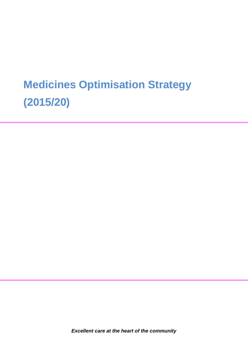# **Medicines Optimisation Strategy (2015/20)**

*Excellent care at the heart of the community*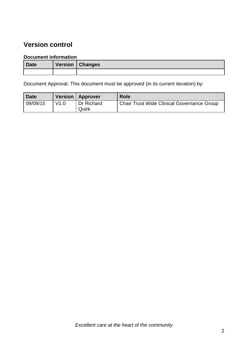### **Version control**

#### **Document information**

| <b>Date</b> | Version   Changes |
|-------------|-------------------|
|             |                   |

Document Approval. This document must be approved (in its current iteration) by:

| <b>Date</b> |      | Version   Approver  | <b>Role</b>                                |
|-------------|------|---------------------|--------------------------------------------|
| 09/09/15    | V1.0 | Dr Richard<br>Quirk | Chair Trust Wide Clinical Governance Group |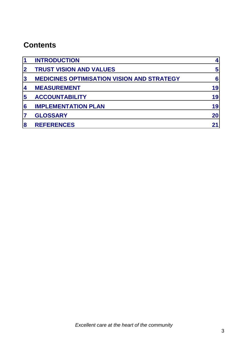### **Contents**

| $\mathbf 1$    | <b>INTRODUCTION</b>                               | 4  |
|----------------|---------------------------------------------------|----|
| 2 <sup>1</sup> | <b>TRUST VISION AND VALUES</b>                    | 5  |
| 3 <sup>1</sup> | <b>MEDICINES OPTIMISATION VISION AND STRATEGY</b> | 6  |
| 4              | <b>MEASUREMENT</b>                                | 19 |
| 5              | <b>ACCOUNTABILITY</b>                             | 19 |
| 6              | <b>IMPLEMENTATION PLAN</b>                        | 19 |
| 7              | <b>GLOSSARY</b>                                   | 20 |
| 8              | <b>REFERENCES</b>                                 | 21 |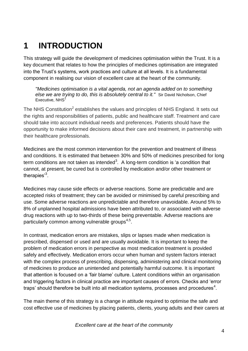### **1 INTRODUCTION**

This strategy will guide the development of medicines optimisation within the Trust. It is a key document that relates to how the principles of medicines optimisation are integrated into the Trust's systems, work practices and culture at all levels. It is a fundamental component in realising our vision of excellent care at the heart of the community.

*"Medicines optimisation is a vital agenda, not an agenda added on to something else we are trying to do, this is absolutely central to it."* Sir David Nicholson, Chief Executive, NHS<sup>1</sup>

The NHS Constitution<sup>2</sup> establishes the values and principles of NHS England. It sets out the rights and responsibilities of patients, public and healthcare staff. Treatment and care should take into account individual needs and preferences. Patients should have the opportunity to make informed decisions about their care and treatment, in partnership with their healthcare professionals.

Medicines are the most common intervention for the prevention and treatment of illness and conditions. It is estimated that between 30% and 50% of medicines prescribed for long term conditions are not taken as intended<sup>3</sup>. A long-term condition is 'a condition that cannot, at present, be cured but is controlled by medication and/or other treatment or therapies'<sup>3</sup>.

Medicines may cause side effects or adverse reactions. Some are predictable and are accepted risks of treatment; they can be avoided or minimised by careful prescribing and use. Some adverse reactions are unpredictable and therefore unavoidable. Around 5% to 8% of unplanned hospital admissions have been attributed to, or associated with adverse drug reactions with up to two-thirds of these being preventable. Adverse reactions are particularly common among vulnerable groups<sup>4,5</sup>.

In contrast, medication errors are mistakes, slips or lapses made when medication is prescribed, dispensed or used and are usually avoidable. It is important to keep the problem of medication errors in perspective as most medication treatment is provided safely and effectively. Medication errors occur when human and system factors interact with the complex process of prescribing, dispensing, administering and clinical monitoring of medicines to produce an unintended and potentially harmful outcome. It is important that attention is focused on a 'fair blame' culture. Latent conditions within an organisation and triggering factors in clinical practice are important causes of errors. Checks and 'error traps' should therefore be built into all medication systems, processes and procedures<sup>4</sup>.

The main theme of this strategy is a change in attitude required to optimise the safe and cost effective use of medicines by placing patients, clients, young adults and their carers at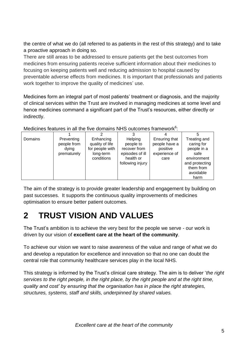the centre of what we do (all referred to as patients in the rest of this strategy) and to take a proactive approach in doing so.

There are still areas to be addressed to ensure patients get the best outcomes from medicines from ensuring patients receive sufficient information about their medicines to focusing on keeping patients well and reducing admission to hospital caused by preventable adverse effects from medicines. It is important that professionals and patients work together to improve the quality of medicines' use.

Medicines form an integral part of most patients' treatment or diagnosis, and the majority of clinical services within the Trust are involved in managing medicines at some level and hence medicines command a significant part of the Trust's resources, either directly or indirectly.

| . חוטאסוווטט וושטאס טרווטוווטט ווער טוווירט מאט ווא חד פטוווטוווטט ווערווירט |                                                   |                                                                            |                                                                                          |                                                                     |                                                                                                                      |
|------------------------------------------------------------------------------|---------------------------------------------------|----------------------------------------------------------------------------|------------------------------------------------------------------------------------------|---------------------------------------------------------------------|----------------------------------------------------------------------------------------------------------------------|
|                                                                              |                                                   |                                                                            |                                                                                          |                                                                     |                                                                                                                      |
| Domains                                                                      | Preventing<br>people from<br>dving<br>prematurely | Enhancing<br>quality of life<br>for people with<br>long-term<br>conditions | Helping<br>people to<br>recover from<br>episodes of ill<br>health or<br>following injury | Ensuring that<br>people have a<br>positive<br>experience of<br>care | Treating and<br>caring for<br>people in a<br>safe<br>environment<br>and protecting<br>them from<br>avoidable<br>harm |

Medicines features in all the five domains NHS outcomes framework<sup>6</sup>:

The aim of the strategy is to provide greater leadership and engagement by building on past successes. It supports the continuous quality improvements of medicines optimisation to ensure better patient outcomes.

### **2 TRUST VISION AND VALUES**

The Trust's ambition is to achieve the very best for the people we serve - our work is driven by our vision of **excellent care at the heart of the community**.

To achieve our vision we want to raise awareness of the value and range of what we do and develop a reputation for excellence and innovation so that no one can doubt the central role that community healthcare services play in the local NHS.

This strategy is informed by the Trust's clinical care strategy. The aim is to deliver '*the right services to the right people, in the right place, by the right people and at the right time, quality and cost' by ensuring that the organisation has in place the right strategies, structures, systems, staff and skills, underpinned by shared values.*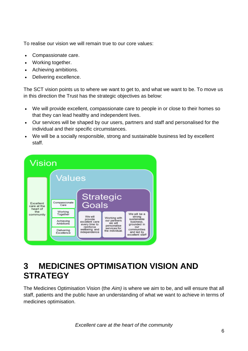To realise our vision we will remain true to our core values:

- Compassionate care.
- Working together.
- Achieving ambitions.
- Delivering excellence.

The SCT vision points us to where we want to get to, and what we want to be. To move us in this direction the Trust has the strategic objectives as below:

- We will provide excellent, compassionate care to people in or close to their homes so that they can lead healthy and independent lives.
- Our services will be shaped by our users, partners and staff and personalised for the individual and their specific circumstances.
- We will be a socially responsible, strong and sustainable business led by excellent staff.



### **3 MEDICINES OPTIMISATION VISION AND STRATEGY**

The Medicines Optimisation Vision (the *Aim)* is where we aim to be, and will ensure that all staff, patients and the public have an understanding of what we want to achieve in terms of medicines optimisation.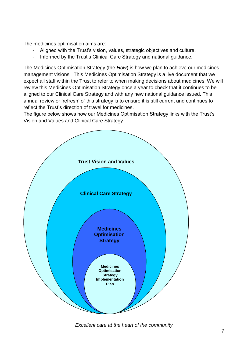The medicines optimisation aims are:

- Aligned with the Trust's vision, values, strategic objectives and culture.
- Informed by the Trust's Clinical Care Strategy and national guidance.

The Medicines Optimisation Strategy (the *How*) is how we plan to achieve our medicines management visions. This Medicines Optimisation Strategy is a live document that we expect all staff within the Trust to refer to when making decisions about medicines. We will review this Medicines Optimisation Strategy once a year to check that it continues to be aligned to our Clinical Care Strategy and with any new national guidance issued. This annual review or 'refresh' of this strategy is to ensure it is still current and continues to reflect the Trust's direction of travel for medicines.

The figure below shows how our Medicines Optimisation Strategy links with the Trust's Vision and Values and Clinical Care Strategy.



*Excellent care at the heart of the community*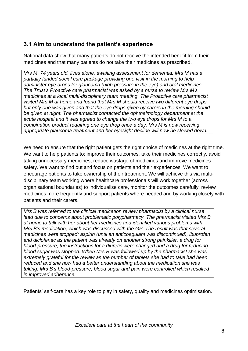#### **3.1 Aim to understand the patient's experience**

National data show that many patients do not receive the intended benefit from their medicines and that many patients do not take their medicines as prescribed.

*Mrs M, 74 years old, lives alone, awaiting assessment for dementia. Mrs M has a partially funded social care package providing one visit in the morning to help administer eye drops for glaucoma (high pressure in the eye) and oral medicines. The Trust's Proactive care pharmacist was asked by a nurse to review Mrs M's medicines at a local multi-disciplinary team meeting. The Proactive care pharmacist visited Mrs M at home and found that Mrs M should receive two different eye drops but only one was given and that the eye drops given by carers in the morning should be given at night. The pharmacist contacted the ophthalmology department at the acute hospital and it was agreed to change the two eye drops for Mrs M to a combination product requiring one eye drop once a day. Mrs M is now receiving appropriate glaucoma treatment and her eyesight decline will now be slowed down.*

We need to ensure that the right patient gets the right choice of medicines at the right time. We want to help patients to: improve their outcomes, take their medicines correctly, avoid taking unnecessary medicines, reduce wastage of medicines and improve medicines safety. We want to find out and focus on patients and their experiences. We want to encourage patients to take ownership of their treatment. We will achieve this via multidisciplinary team working where healthcare professionals will work together (across organisational boundaries) to individualise care, monitor the outcomes carefully, review medicines more frequently and support patients where needed and by working closely with patients and their carers.

*Mrs B was referred to the clinical medication review pharmacist by a clinical nurse lead due to concerns about problematic polypharmacy. The pharmacist visited Mrs B at home to talk with her about her medicines and identified various problems with Mrs B's medication, which was discussed with the GP. The result was that several medicines were stopped: aspirin (until an anticoagulant was discontinued), ibuprofen and diclofenac as the patient was already on another strong painkiller, a drug for blood-pressure, the instructions for a diuretic were changed and a drug for reducing blood sugar was stopped. When Mrs B was followed up by the pharmacist she was extremely grateful for the review as the number of tablets she had to take had been reduced and she now had a better understanding about the medication she was taking. Mrs B's blood-pressure, blood sugar and pain were controlled which resulted in improved adherence.*

Patients' self-care has a key role to play in safety, quality and medicines optimisation.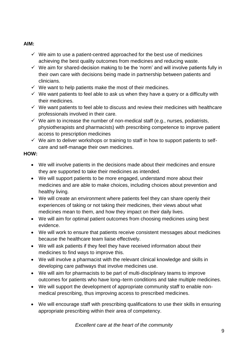#### **AIM:**

- $\checkmark$  We aim to use a patient-centred approached for the best use of medicines achieving the best quality outcomes from medicines and reducing waste.
- $\checkmark$  We aim for shared-decision making to be the 'norm' and will involve patients fully in their own care with decisions being made in partnership between patients and clinicians.
- $\checkmark$  We want to help patients make the most of their medicines.
- $\checkmark$  We want patients to feel able to ask us when they have a query or a difficulty with their medicines.
- $\checkmark$  We want patients to feel able to discuss and review their medicines with healthcare professionals involved in their care.
- $\checkmark$  We aim to increase the number of non-medical staff (e.g., nurses, podiatrists, physiotherapists and pharmacists) with prescribing competence to improve patient access to prescription medicines
- $\checkmark$  We aim to deliver workshops or training to staff in how to support patients to selfcare and self-manage their own medicines.

#### **HOW:**

- We will involve patients in the decisions made about their medicines and ensure they are supported to take their medicines as intended.
- We will support patients to be more engaged, understand more about their medicines and are able to make choices, including choices about prevention and healthy living.
- We will create an environment where patients feel they can share openly their experiences of taking or not taking their medicines, their views about what medicines mean to them, and how they impact on their daily lives.
- We will aim for optimal patient outcomes from choosing medicines using best evidence.
- We will work to ensure that patients receive consistent messages about medicines because the healthcare team liaise effectively.
- We will ask patients if they feel they have received information about their medicines to find ways to improve this.
- We will involve a pharmacist with the relevant clinical knowledge and skills in developing care pathways that involve medicines use.
- We will aim for pharmacists to be part of multi-disciplinary teams to improve outcomes for patients who have long–term conditions and take multiple medicines.
- We will support the development of appropriate community staff to enable nonmedical prescribing, thus improving access to prescribed medicines.
- We will encourage staff with prescribing qualifications to use their skills in ensuring appropriate prescribing within their area of competency.

*Excellent care at the heart of the community*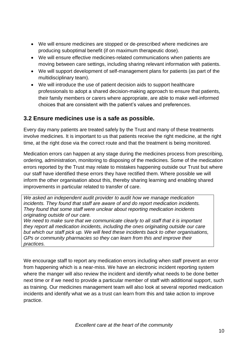- We will ensure medicines are stopped or de-prescribed where medicines are producing suboptimal benefit (if on maximum therapeutic dose).
- We will ensure effective medicines-related communications when patients are moving between care settings, including sharing relevant information with patients.
- We will support development of self-management plans for patients (as part of the multidisciplinary team).
- We will introduce the use of patient decision aids to support healthcare professionals to adopt a shared decision-making approach to ensure that patients, their family members or carers where appropriate, are able to make well-informed choices that are consistent with the patient's values and preferences.

#### **3.2 Ensure medicines use is a safe as possible.**

Every day many patients are treated safely by the Trust and many of these treatments involve medicines. It is important to us that patients receive the right medicine, at the right time, at the right dose via the correct route and that the treatment is being monitored.

Medication errors can happen at any stage during the medicines process from prescribing, ordering, administration, monitoring to disposing of the medicines. Some of the medication errors reported by the Trust may relate to mistakes happening outside our Trust but where our staff have identified these errors they have rectified them. Where possible we will inform the other organisation about this, thereby sharing learning and enabling shared improvements in particular related to transfer of care.

*We asked an independent audit provider to audit how we manage medication incidents. They found that staff are aware of and do report medication incidents. They found that some staff were unclear about reporting medication incidents originating outside of our care.* 

*We need to make sure that we communicate clearly to all staff that it is important they report all medication incidents, including the ones originating outside our care but which our staff pick up. We will feed these incidents back to other organisations, GPs or community pharmacies so they can learn from this and improve their practices.* 

We encourage staff to report any medication errors including when staff prevent an error from happening which is a near-miss. We have an electronic incident reporting system where the manger will also review the incident and identify what needs to be done better next time or if we need to provide a particular member of staff with additional support, such as training. Our medicines management team will also look at several reported medication incidents and identify what we as a trust can learn from this and take action to improve practice.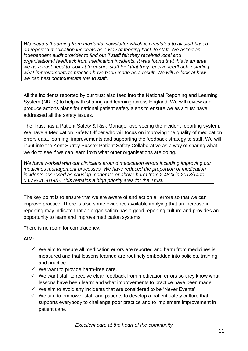*We issue a 'Learning from Incidents' newsletter which is circulated to all staff based on reported medication incidents as a way of feeding back to staff. We asked an independent audit provider to find out if staff felt they received local and organisational feedback from medication incidents. It was found that this is an area we as a trust need to look at to ensure staff feel that they receive feedback including what improvements to practice have been made as a result. We will re-look at how we can best communicate this to staff.*

All the incidents reported by our trust also feed into the National Reporting and Learning System (NRLS) to help with sharing and learning across England. We will review and produce actions plans for national patient safety alerts to ensure we as a trust have addressed all the safety issues.

The Trust has a Patient Safety & Risk Manager overseeing the incident reporting system. We have a Medication Safety Officer who will focus on improving the quality of medication errors data, learning, improvements and supporting the feedback strategy to staff. We will input into the Kent Surrey Sussex Patient Safety Collaborative as a way of sharing what we do to see if we can learn from what other organisations are doing.

*We have worked with our clinicians around medication errors including improving our medicines management processes. We have reduced the proportion of medication incidents assessed as causing moderate or above harm from 2.48% in 2013/14 to 0.67% in 2014/5. This remains a high priority area for the Trust.*

The key point is to ensure that we are aware of and act on all errors so that we can improve practice. There is also some evidence available implying that an increase in reporting may indicate that an organisation has a good reporting culture and provides an opportunity to learn and improve medication systems.

There is no room for complacency.

#### **AIM:**

- $\checkmark$  We aim to ensure all medication errors are reported and harm from medicines is measured and that lessons learned are routinely embedded into policies, training and practice.
- $\checkmark$  We want to provide harm-free care.
- $\checkmark$  We want staff to receive clear feedback from medication errors so they know what lessons have been learnt and what improvements to practice have been made.
- $\checkmark$  We aim to avoid any incidents that are considered to be 'Never Events'.
- $\checkmark$  We aim to empower staff and patients to develop a patient safety culture that supports everybody to challenge poor practice and to implement improvement in patient care.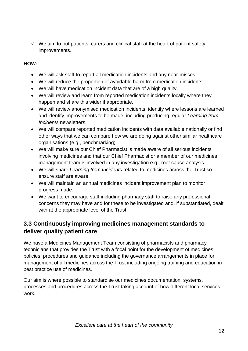$\checkmark$  We aim to put patients, carers and clinical staff at the heart of patient safety improvements.

#### **HOW:**

- We will ask staff to report all medication incidents and any near-misses.
- We will reduce the proportion of avoidable harm from medication incidents.
- We will have medication incident data that are of a high quality.
- We will review and learn from reported medication incidents locally where they happen and share this wider if appropriate.
- We will review anonymised medication incidents, identify where lessons are learned and identify improvements to be made, including producing regular *Learning from Incidents* newsletters.
- We will compare reported medication incidents with data available nationally or find other ways that we can compare how we are doing against other similar healthcare organisations (e.g., benchmarking).
- We will make sure our Chief Pharmacist is made aware of all serious incidents involving medicines and that our Chief Pharmacist or a member of our medicines management team is involved in any investigation e.g., root cause analysis.
- We will share *Learning from Incidents* related to medicines across the Trust so ensure staff are aware.
- We will maintain an annual medicines incident improvement plan to monitor progress made.
- We want to encourage staff including pharmacy staff to raise any professional concerns they may have and for these to be investigated and, if substantiated, dealt with at the appropriate level of the Trust.

#### **3.3 Continuously improving medicines management standards to deliver quality patient care**

We have a Medicines Management Team consisting of pharmacists and pharmacy technicians that provides the Trust with a focal point for the development of medicines policies, procedures and guidance including the governance arrangements in place for management of all medicines across the Trust including ongoing training and education in best practice use of medicines.

Our aim is where possible to standardise our medicines documentation, systems, processes and procedures across the Trust taking account of how different local services work.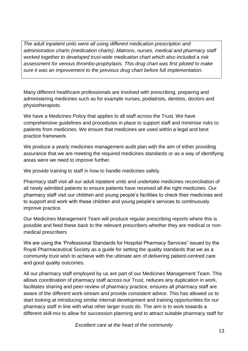*The adult inpatient units were all using different medication prescription and administration charts (medication charts). Matrons, nurses, medical and pharmacy staff worked together to developed trust-wide medication chart which also included a risk assessment for venous thrombo-prophylaxis. This drug chart was first piloted to make sure it was an improvement to the previous drug chart before full implementation.*

Many different healthcare professionals are involved with prescribing, preparing and administering medicines such as for example nurses, podiatrists, dentists, doctors and physiotherapists.

We have a Medicines Policy that applies to all staff across the Trust. We have comprehensive guidelines and procedures in place to support staff and minimise risks to patients from medicines. We ensure that medicines are used within a legal and best practice framework.

We produce a yearly medicines management audit plan with the aim of either providing assurance that we are meeting the required medicines standards or as a way of identifying areas were we need to improve further.

We provide training to staff in how to handle medicines safely.

Pharmacy staff visit all our adult inpatient units and undertake medicines reconciliation of all newly admitted patients to ensure patients have received all the right medicines. Our pharmacy staff visit our children and young people's facilities to check their medicines and to support and work with these children and young people's services to continuously improve practice.

Our Medicines Management Team will produce regular prescribing reports where this is possible and feed these back to the relevant prescribers whether they are medical or nonmedical prescribers

We are using the 'Professional Standards for Hospital Pharmacy Services" issued by the Royal Pharmaceutical Society as a guide for setting the quality standards that we as a community trust wish to achieve with the ultimate aim of delivering patient-centred care and good quality outcomes.

All our pharmacy staff employed by us are part of our Medicines Management Team. This allows coordination of pharmacy staff across our Trust, reduces any duplication in work, facilitates sharing and peer-review of pharmacy practice, ensures all pharmacy staff are aware of the different work-stream and provide consistent advice. This has allowed us to start looking at introducing similar internal development and training opportunities for our pharmacy staff in line with what other larger trusts do. The aim is to work towards a different skill-mix to allow for succession planning and to attract suitable pharmacy staff for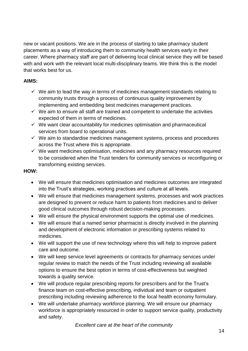new or vacant positions. We are in the process of starting to take pharmacy student placements as a way of introducing them to community health services early in their career. Where pharmacy staff are part of delivering local clinical service they will be based with and work with the relevant local multi-disciplinary teams. We think this is the model that works best for us.

#### **AIMS:**

- $\checkmark$  We aim to lead the way in terms of medicines management standards relating to community trusts through a process of continuous quality improvement by implementing and embedding best medicines management practices.
- $\checkmark$  We aim to ensure all staff are trained and competent to undertake the activities expected of them in terms of medicines.
- $\checkmark$  We want clear accountability for medicines optimisation and pharmaceutical services from board to operational units.
- $\checkmark$  We aim to standardise medicines management systems, process and procedures across the Trust where this is appropriate.
- $\checkmark$  We want medicines optimisation, medicines and any pharmacy resources required to be considered when the Trust tenders for community services or reconfiguring or transforming existing services.

#### **HOW:**

- We will ensure that medicines optimisation and medicines outcomes are integrated into the Trust's strategies, working practices and culture at all levels.
- We will ensure that medicines management systems, processes and work practices are designed to prevent or reduce harm to patients from medicines and to deliver good clinical outcomes through robust decision-making processes.
- We will ensure the physical environment supports the optimal use of medicines.
- We will ensure that a named senior pharmacist is directly involved in the planning and development of electronic information or prescribing systems related to medicines.
- We will support the use of new technology where this will help to improve patient care and outcome.
- We will keep service level agreements or contracts for pharmacy services under regular review to match the needs of the Trust including reviewing all available options to ensure the best option in terms of cost-effectiveness but weighted towards a quality service.
- We will produce regular prescribing reports for prescribers and for the Trust's finance team on cost-effective prescribing, individual and team or outpatient prescribing including reviewing adherence to the local health economy formulary.
- We will undertake pharmacy workforce planning. We will ensure our pharmacy workforce is appropriately resourced in order to support service quality, productivity and safety.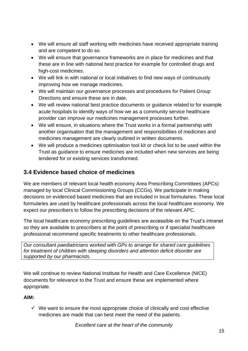- We will ensure all staff working with medicines have received appropriate training and are competent to do so.
- We will ensure that governance frameworks are in place for medicines and that these are in line with national best practice for example for controlled drugs and high-cost medicines.
- We will link in with national or local initiatives to find new ways of continuously improving how we manage medicines.
- We will maintain our governance processes and procedures for Patient Group Directions and ensure these are in date.
- We will review national best practice documents or guidance related to for example acute hospitals to identify ways of how we as a community service healthcare provider can improve our medicines management processes further.
- We will ensure, in situations where the Trust works in a formal partnership with another organisation that the management and responsibilities of medicines and medicines management are clearly outlined in written documents.
- We will produce a medicines optimisation tool kit or check list to be used within the Trust as guidance to ensure medicines are included when new services are being tendered for or existing services transformed.

#### **3.4 Evidence based choice of medicines**

We are members of relevant local health economy Area Prescribing Committees (APCs) managed by local Clinical Commissioning Groups (CCGs). We participate in making decisions on evidenced based medicines that are included in local formularies. These local formularies are used by healthcare professionals across the local healthcare economy. We expect our prescribers to follow the prescribing decisions of the relevant APC.

The local healthcare economy prescribing guidelines are accessible on the Trust's intranet so they are available to prescribers at the point of prescribing or if specialist healthcare professional recommend specific treatments to other healthcare professionals.

*Our consultant paediatricians worked with GPs to arrange for shared care guidelines for treatment of children with sleeping disorders and attention deficit disorder are supported by our pharmacists.* 

We will continue to review National Institute for Health and Care Excellence (NICE) documents for relevance to the Trust and ensure these are implemented where appropriate.

#### **AIM:**

 $\checkmark$  We want to ensure the most appropriate choice of clinically and cost effective medicines are made that can best meet the need of the patients.

*Excellent care at the heart of the community*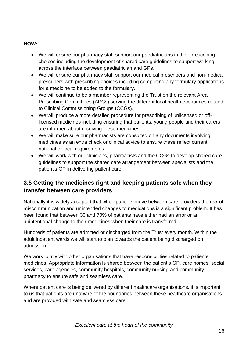#### **HOW:**

- We will ensure our pharmacy staff support our paediatricians in their prescribing choices including the development of shared care guidelines to support working across the interface between paediatrician and GPs.
- We will ensure our pharmacy staff support our medical prescribers and non-medical prescribers with prescribing choices including completing any formulary applications for a medicine to be added to the formulary.
- We will continue to be a member representing the Trust on the relevant Area Prescribing Committees (APCs) serving the different local health economies related to Clinical Commissioning Groups (CCGs).
- We will produce a more detailed procedure for prescribing of unlicensed or offlicensed medicines including ensuring that patients, young people and their carers are informed about receiving these medicines.
- We will make sure our pharmacists are consulted on any documents involving medicines as an extra check or clinical advice to ensure these reflect current national or local requirements.
- We will work with our clinicians, pharmacists and the CCGs to develop shared care guidelines to support the shared care arrangement between specialists and the patient's GP in delivering patient care.

#### **3.5 Getting the medicines right and keeping patients safe when they transfer between care providers**

Nationally it is widely accepted that when patients move between care providers the risk of miscommunication and unintended changes to medications is a significant problem. It has been found that between 30 and 70% of patients have either had an error or an unintentional change to their medicines when their care is transferred.

Hundreds of patients are admitted or discharged from the Trust every month. Within the adult inpatient wards we will start to plan towards the patient being discharged on admission.

We work jointly with other organisations that have responsibilities related to patients' medicines. Appropriate information is shared between the patient's GP, care homes, social services, care agencies, community hospitals, community nursing and community pharmacy to ensure safe and seamless care.

Where patient care is being delivered by different healthcare organisations, it is important to us that patients are unaware of the boundaries between these healthcare organisations and are provided with safe and seamless care.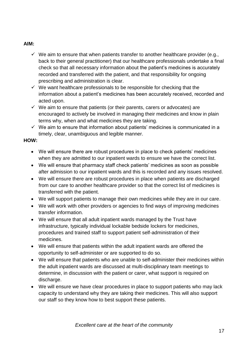#### **AIM:**

- $\checkmark$  We aim to ensure that when patients transfer to another healthcare provider (e.g., back to their general practitioner) that our healthcare professionals undertake a final check so that all necessary information about the patient's medicines is accurately recorded and transferred with the patient, and that responsibility for ongoing prescribing and administration is clear.
- $\checkmark$  We want healthcare professionals to be responsible for checking that the information about a patient's medicines has been accurately received, recorded and acted upon.
- $\checkmark$  We aim to ensure that patients (or their parents, carers or advocates) are encouraged to actively be involved in managing their medicines and know in plain terms why, when and what medicines they are taking.
- $\checkmark$  We aim to ensure that information about patients' medicines is communicated in a timely, clear, unambiguous and legible manner.

#### **HOW:**

- We will ensure there are robust procedures in place to check patients' medicines when they are admitted to our inpatient wards to ensure we have the correct list.
- We will ensure that pharmacy staff check patients' medicines as soon as possible after admission to our inpatient wards and this is recorded and any issues resolved.
- We will ensure there are robust procedures in place when patients are discharged from our care to another healthcare provider so that the correct list of medicines is transferred with the patient.
- We will support patients to manage their own medicines while they are in our care.
- We will work with other providers or agencies to find ways of improving medicines transfer information.
- We will ensure that all adult inpatient wards managed by the Trust have infrastructure, typically individual lockable bedside lockers for medicines, procedures and trained staff to support patient self-administration of their medicines.
- We will ensure that patients within the adult inpatient wards are offered the opportunity to self-administer or are supported to do so.
- We will ensure that patients who are unable to self-administer their medicines within the adult inpatient wards are discussed at multi-disciplinary team meetings to determine, in discussion with the patient or carer, what support is required on discharge.
- We will ensure we have clear procedures in place to support patients who may lack capacity to understand why they are taking their medicines. This will also support our staff so they know how to best support these patients.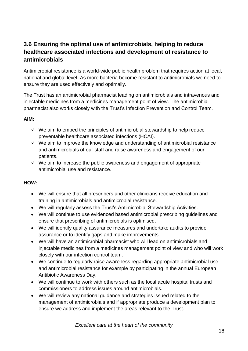#### **3.6 Ensuring the optimal use of antimicrobials, helping to reduce healthcare associated infections and development of resistance to antimicrobials**

Antimicrobial resistance is a world-wide public health problem that requires action at local, national and global level. As more bacteria become resistant to antimicrobials we need to ensure they are used effectively and optimally.

The Trust has an antimicrobial pharmacist leading on antimicrobials and intravenous and injectable medicines from a medicines management point of view. The antimicrobial pharmacist also works closely with the Trust's Infection Prevention and Control Team.

#### **AIM:**

- $\checkmark$  We aim to embed the principles of antimicrobial stewardship to help reduce preventable healthcare associated infections (HCAI).
- $\checkmark$  We aim to improve the knowledge and understanding of antimicrobial resistance and antimicrobials of our staff and raise awareness and engagement of our patients.
- $\checkmark$  We aim to increase the public awareness and engagement of appropriate antimicrobial use and resistance.

#### **HOW:**

- We will ensure that all prescribers and other clinicians receive education and training in antimicrobials and antimicrobial resistance.
- We will regularly assess the Trust's Antimicrobial Stewardship Activities.
- We will continue to use evidenced based antimicrobial prescribing guidelines and ensure that prescribing of antimicrobials is optimised.
- We will identify quality assurance measures and undertake audits to provide assurance or to identify gaps and make improvements.
- We will have an antimicrobial pharmacist who will lead on antimicrobials and injectable medicines from a medicines management point of view and who will work closely with our infection control team.
- We continue to regularly raise awareness regarding appropriate antimicrobial use and antimicrobial resistance for example by participating in the annual European Antibiotic Awareness Day.
- We will continue to work with others such as the local acute hospital trusts and commissioners to address issues around antimicrobials.
- We will review any national guidance and strategies issued related to the management of antimicrobials and if appropriate produce a development plan to ensure we address and implement the areas relevant to the Trust.

*Excellent care at the heart of the community*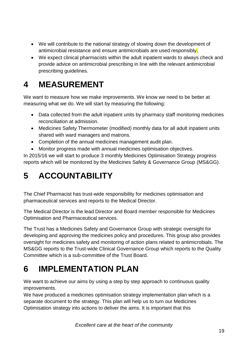- We will contribute to the national strategy of slowing down the development of antimicrobial resistance and ensure antimicrobials are used responsibly.
- We expect clinical pharmacists within the adult inpatient wards to always check and provide advice on antimicrobial prescribing in line with the relevant antimicrobial prescribing guidelines.

### **4 MEASUREMENT**

We want to measure how we make improvements. We know we need to be better at measuring what we do. We will start by measuring the following:

- Data collected from the adult inpatient units by pharmacy staff monitoring medicines reconciliation at admission.
- Medicines Safety Thermometer (modified) monthly data for all adult inpatient units shared with ward managers and matrons.
- Completion of the annual medicines management audit plan.
- Monitor progress made with annual medicines optimisation objectives.

In 2015/16 we will start to produce 3 monthly Medicines Optimisation Strategy progress reports which will be monitored by the Medicines Safety & Governance Group (MS&GG).

## **5 ACCOUNTABILITY**

The Chief Pharmacist has trust-wide responsibility for medicines optimisation and pharmaceutical services and reports to the Medical Director.

The Medical Director is the lead Director and Board member responsible for Medicines Optimisation and Pharmaceutical services.

The Trust has a Medicines Safety and Governance Group with strategic oversight for developing and approving the medicines policy and procedures. This group also provides oversight for medicines safety and monitoring of action plans related to antimicrobials. The MS&GG reports to the Trust-wide Clinical Governance Group which reports to the Quality Committee which is a sub-committee of the Trust Board.

### **6 IMPLEMENTATION PLAN**

We want to achieve our aims by using a step by step approach to continuous quality improvements.

We have produced a medicines optimisation strategy implementation plan which is a separate document to the strategy. This plan will help us to turn our Medicines Optimisation strategy into actions to deliver the aims. It is important that this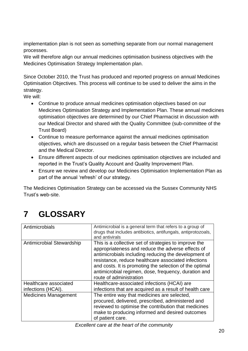implementation plan is not seen as something separate from our normal management processes.

We will therefore align our annual medicines optimisation business objectives with the Medicines Optimisation Strategy Implementation plan.

Since October 2010, the Trust has produced and reported progress on annual Medicines Optimisation Objectives. This process will continue to be used to deliver the aims in the strategy.

We will:

- Continue to produce annual medicines optimisation objectives based on our Medicines Optimisation Strategy and Implementation Plan. These annual medicines optimisation objectives are determined by our Chief Pharmacist in discussion with our Medical Director and shared with the Quality Committee (sub-committee of the Trust Board)
- Continue to measure performance against the annual medicines optimisation objectives, which are discussed on a regular basis between the Chief Pharmacist and the Medical Director.
- Ensure different aspects of our medicines optimisation objectives are included and reported in the Trust's Quality Account and Quality Improvement Plan.
- Ensure we review and develop our Medicines Optimisation Implementation Plan as part of the annual 'refresh' of our strategy.

The Medicines Optimisation Strategy can be accessed via the Sussex Community NHS Trust's web-site.

### **7 GLOSSARY**

| Antimicrobials                              | Antimicrobial is a general term that refers to a group of<br>drugs that includes antibiotics, antifungals, antiprotozoals,<br>and antivirals                                                                                                                                                                                                                            |
|---------------------------------------------|-------------------------------------------------------------------------------------------------------------------------------------------------------------------------------------------------------------------------------------------------------------------------------------------------------------------------------------------------------------------------|
| Antimicrobial Stewardship                   | This is a collective set of strategies to improve the<br>appropriateness and reduce the adverse effects of<br>antimicrobials including reducing the development of<br>resistance, reduce healthcare associated infections<br>and costs. It is promoting the selection of the optimal<br>antimicrobial regimen, dose, frequency, duration and<br>route of administration |
| Healthcare associated<br>infections (HCAI). | Healthcare-associated infections (HCAI) are<br>infections that are acquired as a result of health care                                                                                                                                                                                                                                                                  |
| <b>Medicines Management</b>                 | The entire way that medicines are selected,<br>procured, delivered, prescribed, administered and<br>reviewed to optimise the contribution that medicines<br>make to producing informed and desired outcomes<br>of patient care.                                                                                                                                         |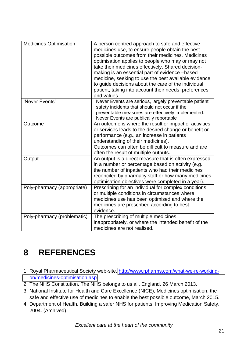| <b>Medicines Optimisation</b> | A person centred approach to safe and effective<br>medicines use, to ensure people obtain the best<br>possible outcomes from their medicines. Medicines<br>optimisation applies to people who may or may not<br>take their medicines effectively. Shared decision-<br>making is an essential part of evidence -based<br>medicine, seeking to use the best available evidence<br>to guide decisions about the care of the individual<br>patient, taking into account their needs, preferences<br>and values. |
|-------------------------------|-------------------------------------------------------------------------------------------------------------------------------------------------------------------------------------------------------------------------------------------------------------------------------------------------------------------------------------------------------------------------------------------------------------------------------------------------------------------------------------------------------------|
| 'Never Events'                | Never Events are serious, largely preventable patient<br>safety incidents that should not occur if the<br>preventable measures are effectively implemented.<br>Never Events are publically reportable                                                                                                                                                                                                                                                                                                       |
| Outcome                       | An outcome is where the result or impact of activities<br>or services leads to the desired change or benefit or<br>performance (e.g., an increase in patients<br>understanding of their medicines).<br>Outcomes can often be difficult to measure and are<br>often the result of multiple outputs.                                                                                                                                                                                                          |
| Output                        | An output is a direct measure that is often expressed<br>in a number or percentage based on activity (e.g.,<br>the number of inpatients who had their medicines<br>reconciled by pharmacy staff or how many medicines<br>optimisation objectives were completed in a year).                                                                                                                                                                                                                                 |
| Poly-pharmacy (appropriate)   | Prescribing for an individual for complex conditions<br>or multiple conditions in circumstances where<br>medicines use has been optimised and where the<br>medicines are prescribed according to best<br>evidence.                                                                                                                                                                                                                                                                                          |
| Poly-pharmacy (problematic)   | The prescribing of multiple medicines<br>inappropriately, or where the intended benefit of the<br>medicines are not realised.                                                                                                                                                                                                                                                                                                                                                                               |

### **8 REFERENCES**

- 1. Royal Pharmaceutical Society web-site. [http://www.rpharms.com/what-we-re-working](http://www.rpharms.com/what-we-re-working-on/medicines-optimisation.asp)[on/medicines-optimisation.asp](http://www.rpharms.com/what-we-re-working-on/medicines-optimisation.asp)
- 2. The NHS Constitution. The NHS belongs to us all. England. 26 March 2013.
- 3. National Institute for Health and Care Excellence (NICE), Medicines optimisation: the safe and effective use of medicines to enable the best possible outcome, March 2015.
- 4. Department of Health. Building a safer NHS for patients: Improving Medication Safety. 2004. (Archived).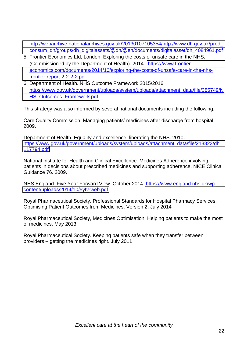[http://webarchive.nationalarchives.gov.uk/20130107105354/http://www.dh.gov.uk/prod\\_](http://webarchive.nationalarchives.gov.uk/20130107105354/http:/www.dh.gov.uk/prod_consum_dh/groups/dh_digitalassets/@dh/@en/documents/digitalasset/dh_4084961.pdf) [consum\\_dh/groups/dh\\_digitalassets/@dh/@en/documents/digitalasset/dh\\_4084961.pdf](http://webarchive.nationalarchives.gov.uk/20130107105354/http:/www.dh.gov.uk/prod_consum_dh/groups/dh_digitalassets/@dh/@en/documents/digitalasset/dh_4084961.pdf)

- 5. Frontier Economics Ltd, London. Exploring the costs of unsafe care in the NHS. (Commissioned by the Department of Health). 2014. [https://www.frontier](https://www.frontier-economics.com/documents/2014/10/exploring-the-costs-of-unsafe-care-in-the-nhs-frontier-report-2-2-2-2.pdf)[economics.com/documents/2014/10/exploring-the-costs-of-unsafe-care-in-the-nhs](https://www.frontier-economics.com/documents/2014/10/exploring-the-costs-of-unsafe-care-in-the-nhs-frontier-report-2-2-2-2.pdf)[frontier-report-2-2-2-2.pdf](https://www.frontier-economics.com/documents/2014/10/exploring-the-costs-of-unsafe-care-in-the-nhs-frontier-report-2-2-2-2.pdf)
- 6. Department of Health. NHS Outcome Framework 2015/2016 [https://www.gov.uk/government/uploads/system/uploads/attachment\\_data/file/385749/N](https://www.gov.uk/government/uploads/system/uploads/attachment_data/file/385749/NHS_Outcomes_Framework.pdf) HS Outcomes Framework.pdf

This strategy was also informed by several national documents including the following:

Care Quality Commission. Managing patients' medicines after discharge from hospital, 2009.

Department of Health. Equality and excellence: liberating the NHS. 2010. [https://www.gov.uk/government/uploads/system/uploads/attachment\\_data/file/213823/dh\\_](https://www.gov.uk/government/uploads/system/uploads/attachment_data/file/213823/dh_117794.pdf) [117794.pdf](https://www.gov.uk/government/uploads/system/uploads/attachment_data/file/213823/dh_117794.pdf)

National Institute for Health and Clinical Excellence. Medicines Adherence involving patients in decisions about prescribed medicines and supporting adherence. NICE Clinical Guidance 76. 2009.

NHS England. Five Year Forward View. October 2014. [https://www.england.nhs.uk/wp](https://www.england.nhs.uk/wp-content/uploads/2014/10/5yfv-web.pdf)[content/uploads/2014/10/5yfv-web.pdf](https://www.england.nhs.uk/wp-content/uploads/2014/10/5yfv-web.pdf)

Royal Pharmaceutical Society, Professional Standards for Hospital Pharmacy Services, Optimising Patient Outcomes from Medicines, Version 2, July 2014

Royal Pharmaceutical Society, Medicines Optimisation: Helping patients to make the most of medicines, May 2013

Royal Pharmaceutical Society. Keeping patients safe when they transfer between providers – getting the medicines right. July 2011